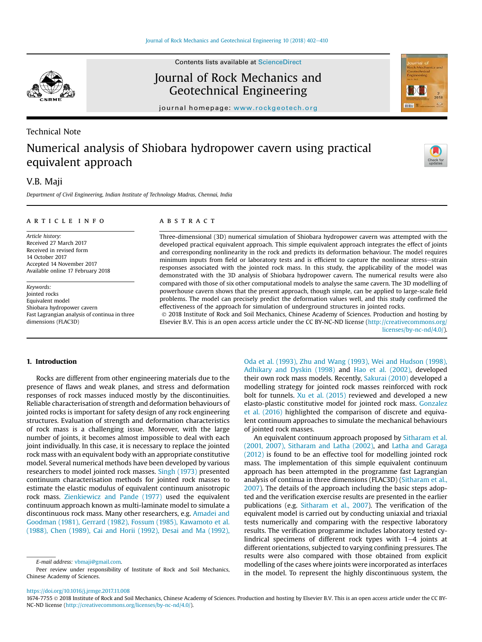Contents lists available at ScienceDirect

# Journal of Rock Mechanics and Geotechnical Engineering

journal homepage: www.rockgeotech.org

# Technical Note

# Numerical analysis of Shiobara hydropower cavern using practical equivalent approach

# V.B. Maji

*Department of Civil Engineering, Indian Institute of Technology Madras, Chennai, India*

### article info

*Article history:* Received 27 March 2017 Received in revised form 14 October 2017 Accepted 14 November 2017 Available online 17 February 2018

*Keywords:* Jointed rocks Equivalent model Shiobara hydropower cavern Fast Lagrangian analysis of continua in three dimensions (FLAC3D)

#### **ABSTRACT**

Three-dimensional (3D) numerical simulation of Shiobara hydropower cavern was attempted with the developed practical equivalent approach. This simple equivalent approach integrates the effect of joints and corresponding nonlinearity in the rock and predicts its deformation behaviour. The model requires minimum inputs from field or laboratory tests and is efficient to capture the nonlinear stress-strain responses associated with the jointed rock mass. In this study, the applicability of the model was demonstrated with the 3D analysis of Shiobara hydropower cavern. The numerical results were also compared with those of six other computational models to analyse the same cavern. The 3D modelling of powerhouse cavern shows that the present approach, though simple, can be applied to large-scale field problems. The model can precisely predict the deformation values well, and this study confirmed the effectiveness of the approach for simulation of underground structures in jointed rocks.

 2018 Institute of Rock and Soil Mechanics, Chinese Academy of Sciences. Production and hosting by Elsevier B.V. This is an open access article under the CC BY-NC-ND license (http://creativecommons.org/ licenses/by-nc-nd/4.0/).

### 1. Introduction

Rocks are different from other engineering materials due to the presence of flaws and weak planes, and stress and deformation responses of rock masses induced mostly by the discontinuities. Reliable characterisation of strength and deformation behaviours of jointed rocks is important for safety design of any rock engineering structures. Evaluation of strength and deformation characteristics of rock mass is a challenging issue. Moreover, with the large number of joints, it becomes almost impossible to deal with each joint individually. In this case, it is necessary to replace the jointed rock mass with an equivalent body with an appropriate constitutive model. Several numerical methods have been developed by various researchers to model jointed rock masses. Singh (1973) presented continuum characterisation methods for jointed rock masses to estimate the elastic modulus of equivalent continuum anisotropic rock mass. Zienkiewicz and Pande (1977) used the equivalent continuum approach known as multi-laminate model to simulate a discontinuous rock mass. Many other researchers, e.g. Amadei and Goodman (1981), Gerrard (1982), Fossum (1985), Kawamoto et al. (1988), Chen (1989), Cai and Horii (1992), Desai and Ma (1992),

https://doi.org/10.1016/j.jrmge.2017.11.008

Oda et al. (1993), Zhu and Wang (1993), Wei and Hudson (1998), Adhikary and Dyskin (1998) and Hao et al. (2002), developed their own rock mass models. Recently, Sakurai (2010) developed a modelling strategy for jointed rock masses reinforced with rock bolt for tunnels. Xu et al. (2015) reviewed and developed a new elasto-plastic constitutive model for jointed rock mass. Gonzalez et al. (2016) highlighted the comparison of discrete and equivalent continuum approaches to simulate the mechanical behaviours of jointed rock masses.

An equivalent continuum approach proposed by Sitharam et al. (2001, 2007), Sitharam and Latha (2002), and Latha and Garaga (2012) is found to be an effective tool for modelling jointed rock mass. The implementation of this simple equivalent continuum approach has been attempted in the programme fast Lagrangian analysis of continua in three dimensions (FLAC3D) (Sitharam et al., 2007). The details of the approach including the basic steps adopted and the verification exercise results are presented in the earlier publications (e.g. Sitharam et al., 2007). The verification of the equivalent model is carried out by conducting uniaxial and triaxial tests numerically and comparing with the respective laboratory results. The verification programme includes laboratory tested cylindrical specimens of different rock types with  $1-4$  joints at different orientations, subjected to varying confining pressures. The results were also compared with those obtained from explicit modelling of the cases where joints were incorporated as interfaces in the model. To represent the highly discontinuous system, the



*E-mail address:* vbmaji@gmail.com.

Peer review under responsibility of Institute of Rock and Soil Mechanics, Chinese Academy of Sciences.

<sup>1674-7755</sup> 2018 Institute of Rock and Soil Mechanics, Chinese Academy of Sciences. Production and hosting by Elsevier B.V. This is an open access article under the CC BY-NC-ND license (http://creativecommons.org/licenses/by-nc-nd/4.0/).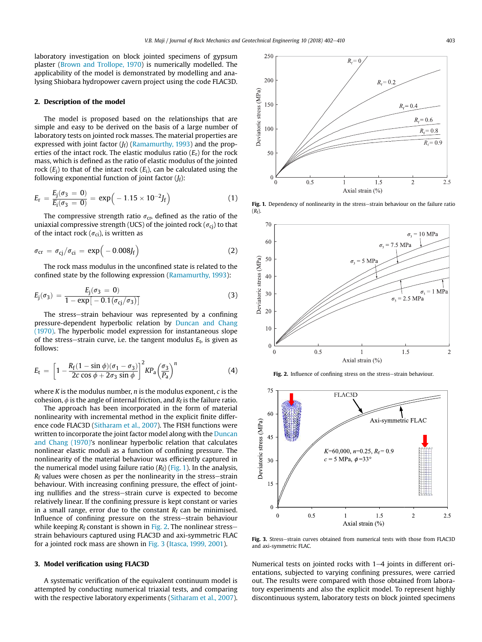laboratory investigation on block jointed specimens of gypsum plaster (Brown and Trollope, 1970) is numerically modelled. The applicability of the model is demonstrated by modelling and analysing Shiobara hydropower cavern project using the code FLAC3D.

### 2. Description of the model

The model is proposed based on the relationships that are simple and easy to be derived on the basis of a large number of laboratory tests on jointed rock masses. The material properties are expressed with joint factor (*J*f) (Ramamurthy, 1993) and the properties of the intact rock. The elastic modulus ratio (*E*r) for the rock mass, which is defined as the ratio of elastic modulus of the jointed rock  $(E_j)$  to that of the intact rock  $(E_i)$ , can be calculated using the following exponential function of joint factor (*J*f):

$$
E_{\rm r} = \frac{E_{\rm j}(\sigma_3 = 0)}{E_{\rm i}(\sigma_3 = 0)} = \exp\left(-1.15 \times 10^{-2} J_{\rm f}\right) \tag{1}
$$

The compressive strength ratio  $\sigma_{cr}$ , defined as the ratio of the uniaxial compressive strength (UCS) of the jointed rock ( $\sigma_{ci}$ ) to that of the intact rock ( $\sigma_{ci}$ ), is written as

$$
\sigma_{\rm cr} = \sigma_{\rm cj}/\sigma_{\rm ci} = \exp(-0.008f_{\rm f}) \tag{2}
$$

The rock mass modulus in the unconfined state is related to the confined state by the following expression (Ramamurthy, 1993):

$$
E_{j}(\sigma_{3}) = \frac{E_{j}(\sigma_{3} = 0)}{1 - \exp[-0.1(\sigma_{cj}/\sigma_{3})]}
$$
(3)

The stress-strain behaviour was represented by a confining pressure-dependent hyperbolic relation by Duncan and Chang (1970). The hyperbolic model expression for instantaneous slope of the stress-strain curve, i.e. the tangent modulus  $E_t$ , is given as follows:

$$
E_{\rm t} = \left[1 - \frac{R_{\rm f}(1-\sin\phi)(\sigma_1-\sigma_3)}{2c\cos\phi + 2\sigma_3\sin\phi}\right]^2 K P_{\rm a} \left(\frac{\sigma_3}{P_{\rm a}}\right)^n \tag{4}
$$

where *K* is the modulus number, *n* is the modulus exponent, *c* is the cohesion,  $\phi$  is the angle of internal friction, and  $R_{\rm f}$  is the failure ratio.

The approach has been incorporated in the form of material nonlinearity with incremental method in the explicit finite difference code FLAC3D (Sitharam et al., 2007). The FISH functions were written to incorporate the joint factor model along with the Duncan and Chang (1970)'s nonlinear hyperbolic relation that calculates nonlinear elastic moduli as a function of confining pressure. The nonlinearity of the material behaviour was efficiently captured in the numerical model using failure ratio  $(R_f)$  (Fig. 1). In the analysis,  $R_f$  values were chosen as per the nonlinearity in the stress-strain behaviour. With increasing confining pressure, the effect of jointing nullifies and the stress-strain curve is expected to become relatively linear. If the confining pressure is kept constant or varies in a small range, error due to the constant  $R_f$  can be minimised. Influence of confining pressure on the stress-strain behaviour while keeping  $R_f$  constant is shown in Fig. 2. The nonlinear stressstrain behaviours captured using FLAC3D and axi-symmetric FLAC for a jointed rock mass are shown in Fig. 3 (Itasca, 1999, 2001).

#### 3. Model verification using FLAC3D

A systematic verification of the equivalent continuum model is attempted by conducting numerical triaxial tests, and comparing with the respective laboratory experiments (Sitharam et al., 2007).



Fig. 1. Dependency of nonlinearity in the stress-strain behaviour on the failure ratio (*R*f).



Fig. 2. Influence of confining stress on the stress-strain behaviour.



Fig. 3. Stress-strain curves obtained from numerical tests with those from FLAC3D and axi-symmetric FLAC.

Numerical tests on jointed rocks with  $1-4$  joints in different orientations, subjected to varying confining pressures, were carried out. The results were compared with those obtained from laboratory experiments and also the explicit model. To represent highly discontinuous system, laboratory tests on block jointed specimens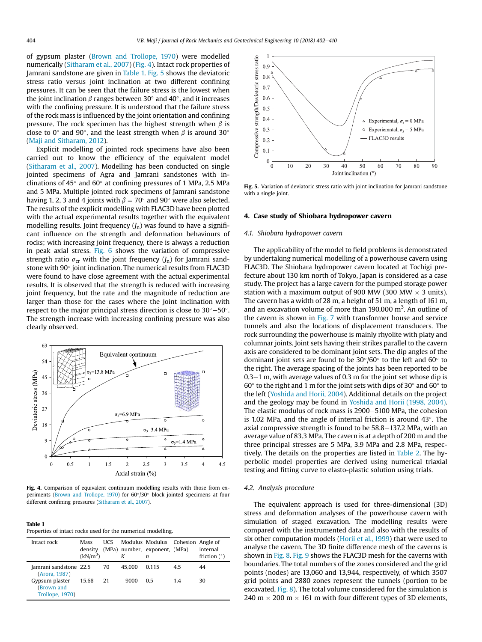of gypsum plaster (Brown and Trollope, 1970) were modelled numerically (Sitharam et al., 2007) (Fig. 4). Intact rock properties of Jamrani sandstone are given in Table 1. Fig. 5 shows the deviatoric stress ratio versus joint inclination at two different confining pressures. It can be seen that the failure stress is the lowest when the joint inclination  $\beta$  ranges between 30 $^{\circ}$  and 40 $^{\circ}$ , and it increases with the confining pressure. It is understood that the failure stress of the rock mass is influenced by the joint orientation and confining pressure. The rock specimen has the highest strength when  $\beta$  is close to 0 $^{\circ}$  and 90 $^{\circ}$ , and the least strength when  $\beta$  is around 30 $^{\circ}$ (Maji and Sitharam, 2012).

Explicit modelling of jointed rock specimens have also been carried out to know the efficiency of the equivalent model (Sitharam et al., 2007). Modelling has been conducted on single jointed specimens of Agra and Jamrani sandstones with inclinations of 45 $^{\circ}$  and 60 $^{\circ}$  at confining pressures of 1 MPa, 2.5 MPa and 5 MPa. Multiple jointed rock specimens of Jamrani sandstone having 1, 2, 3 and 4 joints with  $\beta = 70^{\circ}$  and 90° were also selected. The results of the explicit modelling with FLAC3D have been plotted with the actual experimental results together with the equivalent modelling results. Joint frequency (*J*n) was found to have a significant influence on the strength and deformation behaviours of rocks; with increasing joint frequency, there is always a reduction in peak axial stress. Fig. 6 shows the variation of compressive strength ratio  $\sigma_{cr}$  with the joint frequency  $(J_n)$  for Jamrani sandstone with 90° joint inclination. The numerical results from FLAC3D were found to have close agreement with the actual experimental results. It is observed that the strength is reduced with increasing joint frequency, but the rate and the magnitude of reduction are larger than those for the cases where the joint inclination with respect to the major principal stress direction is close to  $30^{\circ} - 50^{\circ}$ . The strength increase with increasing confining pressure was also clearly observed.



Fig. 4. Comparison of equivalent continuum modelling results with those from experiments (Brown and Trollope, 1970) for  $60^{\circ}/30^{\circ}$  block jointed specimens at four different confining pressures (Sitharam et al., 2007).

#### Table 1

Properties of intact rocks used for the numerical modelling.

| Intact rock                                            | Mass<br>density<br>(kN/m <sup>3</sup> ) | UCS |        | Modulus Modulus Cohesion Angle of<br>(MPa) number, exponent, (MPa)<br>n |     | internal<br>friction $(°)$ |
|--------------------------------------------------------|-----------------------------------------|-----|--------|-------------------------------------------------------------------------|-----|----------------------------|
| Jamrani sandstone 22.5<br>(Arora, 1987)                |                                         | 70  | 45.000 | 0.115                                                                   | 4.5 | 44                         |
| Gypsum plaster<br>(Brown and<br><b>Trollope, 1970)</b> | 15.68                                   | 21  | 9000   | 05                                                                      | 14  | 30                         |



Fig. 5. Variation of deviatoric stress ratio with joint inclination for Jamrani sandstone with a single joint.

#### 4. Case study of Shiobara hydropower cavern

#### *4.1. Shiobara hydropower cavern*

The applicability of the model to field problems is demonstrated by undertaking numerical modelling of a powerhouse cavern using FLAC3D. The Shiobara hydropower cavern located at Tochigi prefecture about 130 km north of Tokyo, Japan is considered as a case study. The project has a large cavern for the pumped storage power station with a maximum output of 900 MW (300 MW  $\times$  3 units). The cavern has a width of 28 m, a height of 51 m, a length of 161 m, and an excavation volume of more than  $190,000 \text{ m}^3$ . An outline of the cavern is shown in Fig. 7 with transformer house and service tunnels and also the locations of displacement transducers. The rock surrounding the powerhouse is mainly rhyolite with platy and columnar joints. Joint sets having their strikes parallel to the cavern axis are considered to be dominant joint sets. The dip angles of the dominant joint sets are found to be  $30^{\circ}/60^{\circ}$  to the left and  $60^{\circ}$  to the right. The average spacing of the joints has been reported to be  $0.3-1$  m, with average values of 0.3 m for the joint set whose dip is  $60^{\circ}$  to the right and 1 m for the joint sets with dips of 30 $^{\circ}$  and 60 $^{\circ}$  to the left (Yoshida and Horii, 2004). Additional details on the project and the geology may be found in Yoshida and Horii (1998, 2004). The elastic modulus of rock mass is 2900-5100 MPa, the cohesion is 1.02 MPa, and the angle of internal friction is around  $43^\circ$ . The axial compressive strength is found to be  $58.8-137.2$  MPa, with an average value of 83.3 MPa. The cavern is at a depth of 200 m and the three principal stresses are 5 MPa, 3.9 MPa and 2.8 MPa, respectively. The details on the properties are listed in Table 2. The hyperbolic model properties are derived using numerical triaxial testing and fitting curve to elasto-plastic solution using trials.

#### *4.2. Analysis procedure*

The equivalent approach is used for three-dimensional (3D) stress and deformation analyses of the powerhouse cavern with simulation of staged excavation. The modelling results were compared with the instrumented data and also with the results of six other computation models (Horii et al., 1999) that were used to analyse the cavern. The 3D finite difference mesh of the caverns is shown in Fig. 8. Fig. 9 shows the FLAC3D mesh for the caverns with boundaries. The total numbers of the zones considered and the grid points (nodes) are 13,060 and 13,944, respectively, of which 3507 grid points and 2880 zones represent the tunnels (portion to be excavated, Fig. 8). The total volume considered for the simulation is 240 m  $\times$  200 m  $\times$  161 m with four different types of 3D elements,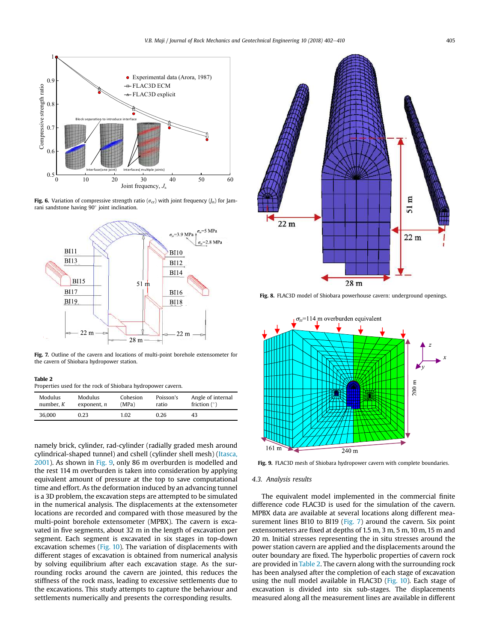

Fig. 6. Variation of compressive strength ratio ( $\sigma_{cr}$ ) with joint frequency (*J*<sub>n</sub>) for Jamrani sandstone having  $90^{\circ}$  joint inclination.



Fig. 7. Outline of the cavern and locations of multi-point borehole extensometer for the cavern of Shiobara hydropower station.

#### Table 2

Properties used for the rock of Shiobara hydropower cavern.

| Modulus     | <b>Modulus</b> | Cohesion | Poisson's | Angle of internal |
|-------------|----------------|----------|-----------|-------------------|
| number. $K$ | exponent, $n$  | (MPa)    | ratio     | friction $(°)$    |
| 36.000      | 0.23           | 1.02     | 0.26      | 43                |

namely brick, cylinder, rad-cylinder (radially graded mesh around cylindrical-shaped tunnel) and cshell (cylinder shell mesh) (Itasca, 2001). As shown in Fig. 9, only 86 m overburden is modelled and the rest 114 m overburden is taken into consideration by applying equivalent amount of pressure at the top to save computational time and effort. As the deformation induced by an advancing tunnel is a 3D problem, the excavation steps are attempted to be simulated in the numerical analysis. The displacements at the extensometer locations are recorded and compared with those measured by the multi-point borehole extensometer (MPBX). The cavern is excavated in five segments, about 32 m in the length of excavation per segment. Each segment is excavated in six stages in top-down excavation schemes (Fig. 10). The variation of displacements with different stages of excavation is obtained from numerical analysis by solving equilibrium after each excavation stage. As the surrounding rocks around the cavern are jointed, this reduces the stiffness of the rock mass, leading to excessive settlements due to the excavations. This study attempts to capture the behaviour and settlements numerically and presents the corresponding results.



Fig. 8. FLAC3D model of Shiobara powerhouse cavern: underground openings.



Fig. 9. FLAC3D mesh of Shiobara hydropower cavern with complete boundaries.

#### *4.3. Analysis results*

The equivalent model implemented in the commercial finite difference code FLAC3D is used for the simulation of the cavern. MPBX data are available at several locations along different measurement lines BI10 to BI19 (Fig. 7) around the cavern. Six point extensometers are fixed at depths of 1.5 m, 3 m, 5 m, 10 m, 15 m and 20 m. Initial stresses representing the in situ stresses around the power station cavern are applied and the displacements around the outer boundary are fixed. The hyperbolic properties of cavern rock are provided in Table 2. The cavern along with the surrounding rock has been analysed after the completion of each stage of excavation using the null model available in FLAC3D (Fig. 10). Each stage of excavation is divided into six sub-stages. The displacements measured along all the measurement lines are available in different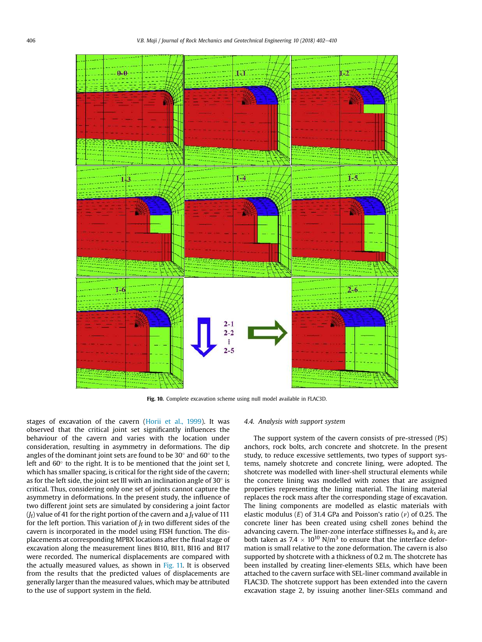

Fig. 10. Complete excavation scheme using null model available in FLAC3D.

stages of excavation of the cavern (Horii et al., 1999). It was observed that the critical joint set significantly influences the behaviour of the cavern and varies with the location under consideration, resulting in asymmetry in deformations. The dip angles of the dominant joint sets are found to be 30 $^{\circ}$  and 60 $^{\circ}$  to the left and  $60^\circ$  to the right. It is to be mentioned that the joint set I, which has smaller spacing, is critical for the right side of the cavern; as for the left side, the joint set III with an inclination angle of  $30^{\circ}$  is critical. Thus, considering only one set of joints cannot capture the asymmetry in deformations. In the present study, the influence of two different joint sets are simulated by considering a joint factor  $(J_f)$  value of 41 for the right portion of the cavern and a  $J_f$  value of 111 for the left portion. This variation of  $J_{\mathrm{f}}$  in two different sides of the cavern is incorporated in the model using FISH function. The displacements at corresponding MPBX locations after the final stage of excavation along the measurement lines BI10, BI11, BI16 and BI17 were recorded. The numerical displacements are compared with the actually measured values, as shown in Fig. 11. It is observed from the results that the predicted values of displacements are generally larger than the measured values, which may be attributed to the use of support system in the field.

#### *4.4. Analysis with support system*

The support system of the cavern consists of pre-stressed (PS) anchors, rock bolts, arch concrete and shotcrete. In the present study, to reduce excessive settlements, two types of support systems, namely shotcrete and concrete lining, were adopted. The shotcrete was modelled with liner-shell structural elements while the concrete lining was modelled with zones that are assigned properties representing the lining material. The lining material replaces the rock mass after the corresponding stage of excavation. The lining components are modelled as elastic materials with elastic modulus  $(E)$  of 31.4 GPa and Poisson's ratio  $(v)$  of 0.25. The concrete liner has been created using cshell zones behind the advancing cavern. The liner-zone interface stiffnesses  $k_n$  and  $k_s$  are both taken as 7.4  $\times$  10<sup>10</sup> N/m<sup>3</sup> to ensure that the interface deformation is small relative to the zone deformation. The cavern is also supported by shotcrete with a thickness of 0.2 m. The shotcrete has been installed by creating liner-elements SELs, which have been attached to the cavern surface with SEL-liner command available in FLAC3D. The shotcrete support has been extended into the cavern excavation stage 2, by issuing another liner-SELs command and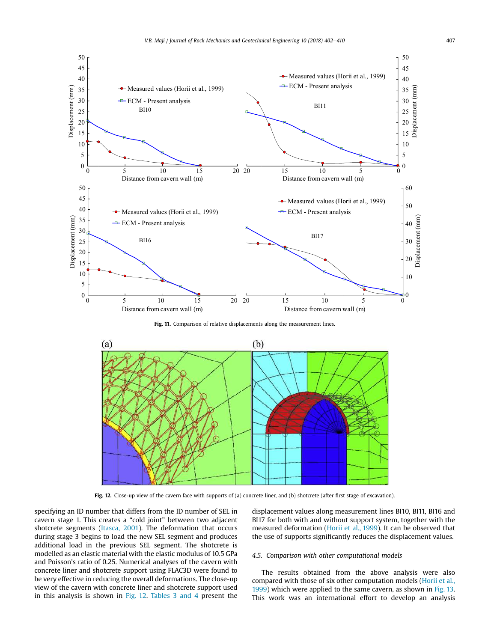

Fig. 11. Comparison of relative displacements along the measurement lines.



Fig. 12. Close-up view of the cavern face with supports of (a) concrete liner, and (b) shotcrete (after first stage of excavation).

specifying an ID number that differs from the ID number of SEL in cavern stage 1. This creates a "cold joint" between two adjacent shotcrete segments (Itasca, 2001). The deformation that occurs during stage 3 begins to load the new SEL segment and produces additional load in the previous SEL segment. The shotcrete is modelled as an elastic material with the elastic modulus of 10.5 GPa and Poisson's ratio of 0.25. Numerical analyses of the cavern with concrete liner and shotcrete support using FLAC3D were found to be very effective in reducing the overall deformations. The close-up view of the cavern with concrete liner and shotcrete support used in this analysis is shown in Fig. 12. Tables 3 and 4 present the displacement values along measurement lines BI10, BI11, BI16 and BI17 for both with and without support system, together with the measured deformation (Horii et al., 1999). It can be observed that the use of supports significantly reduces the displacement values.

## *4.5. Comparison with other computational models*

The results obtained from the above analysis were also compared with those of six other computation models (Horii et al., 1999) which were applied to the same cavern, as shown in Fig. 13. This work was an international effort to develop an analysis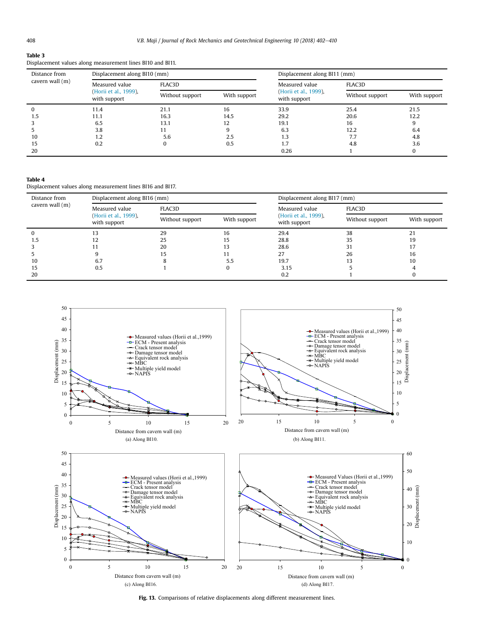## Table 3

Displacement values along measurement lines BI10 and BI11.

| Distance from<br>cavern wall $(m)$ | Displacement along BI10 (mm)                            |                 |              | Displacement along BI11 (mm)          |                 |              |
|------------------------------------|---------------------------------------------------------|-----------------|--------------|---------------------------------------|-----------------|--------------|
|                                    | Measured value<br>(Horii et al., 1999),<br>with support | FLAC3D          |              | Measured value                        | FLAC3D          |              |
|                                    |                                                         | Without support | With support | (Horii et al., 1999),<br>with support | Without support | With support |
|                                    | 11.4                                                    | 21.1            | 16           | 33.9                                  | 25.4            | 21.5         |
| 1.5                                | 11.1                                                    | 16.3            | 14.5         | 29.2                                  | 20.6            | 12.2         |
|                                    | 6.5                                                     | 13.1            | 12           | 19.1                                  | 16              |              |
|                                    | 3.8                                                     | 11              | 9            | 6.3                                   | 12.2            | 6.4          |
| 10                                 | 1.2                                                     | 5.6             | 2.5          | 1.3                                   | 7.7             | 4.8          |
| 15                                 | 0.2                                                     | $\Omega$        | 0.5          | 1.7                                   | 4.8             | 3.6          |
| 20                                 |                                                         |                 |              | 0.26                                  |                 |              |

#### Table 4

Displacement values along measurement lines BI16 and BI17.

| Distance from<br>cavern wall (m) | Displacement along BI16 (mm)                            |                 |              | Displacement along BI17 (mm)          |                 |              |
|----------------------------------|---------------------------------------------------------|-----------------|--------------|---------------------------------------|-----------------|--------------|
|                                  | Measured value<br>(Horii et al., 1999),<br>with support | FLAC3D          |              | Measured value                        | FLAC3D          |              |
|                                  |                                                         | Without support | With support | (Horii et al., 1999),<br>with support | Without support | With support |
|                                  | 13                                                      | 29              | 16           | 29.4                                  | 38              | 21           |
|                                  | 12                                                      | 25              | 15           | 28.8                                  | 35              | 19           |
|                                  | 11                                                      | 20              | 13           | 28.6                                  | 31              |              |
|                                  |                                                         | 15              |              | 27                                    | 26              | 16           |
| 10                               | 6.7                                                     |                 | 5.5          | 19.7                                  | 13              | 10           |
| 15                               | 0.5                                                     |                 |              | 3.15                                  |                 |              |
| 20                               |                                                         |                 |              | 0.2                                   |                 |              |



Fig. 13. Comparisons of relative displacements along different measurement lines.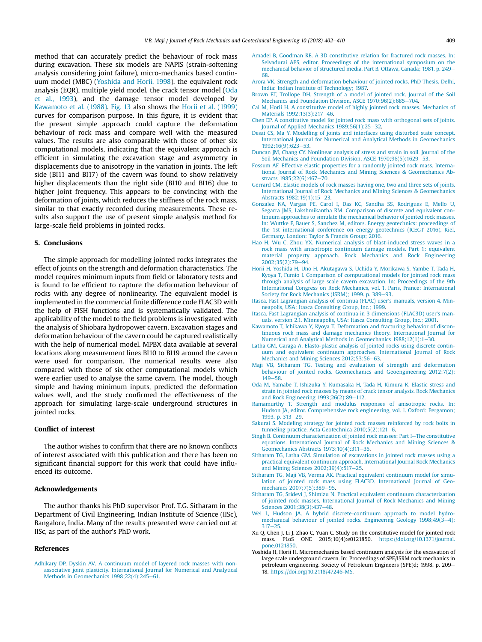method that can accurately predict the behaviour of rock mass during excavation. These six models are NAPIS (strain-softening analysis considering joint failure), micro-mechanics based continuum model (MBC) (Yoshida and Horii, 1998), the equivalent rock analysis (EQR), multiple yield model, the crack tensor model (Oda et al., 1993), and the damage tensor model developed by Kawamoto et al. (1988). Fig. 13 also shows the Horii et al. (1999) curves for comparison purpose. In this figure, it is evident that the present simple approach could capture the deformation behaviour of rock mass and compare well with the measured values. The results are also comparable with those of other six computational models, indicating that the equivalent approach is efficient in simulating the excavation stage and asymmetry in displacements due to anisotropy in the variation in joints. The left side (BI11 and BI17) of the cavern was found to show relatively higher displacements than the right side (BI10 and BI16) due to higher joint frequency. This appears to be convincing with the deformation of joints, which reduces the stiffness of the rock mass, similar to that exactly recorded during measurements. These results also support the use of present simple analysis method for large-scale field problems in jointed rocks.

#### 5. Conclusions

The simple approach for modelling jointed rocks integrates the effect of joints on the strength and deformation characteristics. The model requires minimum inputs from field or laboratory tests and is found to be efficient to capture the deformation behaviour of rocks with any degree of nonlinearity. The equivalent model is implemented in the commercial finite difference code FLAC3D with the help of FISH functions and is systematically validated. The applicability of the model to the field problems is investigated with the analysis of Shiobara hydropower cavern. Excavation stages and deformation behaviour of the cavern could be captured realistically with the help of numerical model. MPBX data available at several locations along measurement lines BI10 to BI19 around the cavern were used for comparison. The numerical results were also compared with those of six other computational models which were earlier used to analyse the same cavern. The model, though simple and having minimum inputs, predicted the deformation values well, and the study confirmed the effectiveness of the approach for simulating large-scale underground structures in jointed rocks.

#### Conflict of interest

The author wishes to confirm that there are no known conflicts of interest associated with this publication and there has been no significant financial support for this work that could have influenced its outcome.

#### Acknowledgements

The author thanks his PhD supervisor Prof. T.G. Sitharam in the Department of Civil Engineering, Indian Institute of Science (IISc), Bangalore, India. Many of the results presented were carried out at IISc, as part of the author's PhD work.

#### References

- Amadei B, Goodman RE. A 3D constitutive relation for fractured rock masses. In: Selvadurai APS, editor. Proceedings of the international symposium on the mechanical behavior of structured media, Part B. Ottawa, Canada; 1981. p. 249– 68.
- Arora VK. Strength and deformation behaviour of jointed rocks. PhD Thesis. Delhi, India: Indian Institute of Technology; 1987.
- Brown ET, Trollope DH. Strength of a model of jointed rock. Journal of the Soil Mechanics and Foundation Division, ASCE 1970;96(2):685-704.
- Cai M, Horii H. A constitutive model of highly jointed rock masses. Mechanics of Materials 1992;13(3):217-46.
- Chen EP. A constitutive model for jointed rock mass with orthogonal sets of joints. Journal of Applied Mechanics  $1989;56(1):25-32$ .
- Desai CS, Ma Y. Modelling of joints and interfaces using disturbed state concept. International Journal for Numerical and Analytical Methods in Geomechanics  $1992:16(9):623-53.$
- Duncan JM, Chang CY. Nonlinear analysis of stress and strain in soil. Journal of the Soil Mechanics and Foundation Division, ASCE 1970;96(5):1629-53.
- Fossum AF. Effective elastic properties for a randomly jointed rock mass. International Journal of Rock Mechanics and Mining Sciences & Geomechanics Abstracts 1985:22(6):467-70.
- Gerrard CM. Elastic models of rock masses having one, two and three sets of joints. International Journal of Rock Mechanics and Mining Sciences & Geomechanics Abstracts 1982:19(1):15-23.
- Gonzalez NA, Vargas PE, Carol I, Das KC, Sandha SS, Rodrigues E, Mello U, Segarra JMS, Lakshmikantha RM. Comparison of discrete and equivalent continuum approaches to simulate the mechanical behavior of jointed rock masses. In: Wuttke F, Bauer S, Sanchez M, editors. Energy geotechnics: proceedings of the 1st international conference on energy geotechnics (ICEGT 2016), Kiel, Germany. London: Taylor & Francis Group; 2016.
- Hao H, Wu C, Zhou YX. Numerical analysis of blast-induced stress waves in a rock mass with anisotropic continuum damage models. Part 1: equivalent material property approach. Rock Mechanics and Rock Engineering  $2002:35(2):79-94.$
- Horii H, Yoshida H, Uno H, Akutagawa S, Uchida Y, Morikawa S, Yambe T, Tada H, Kyoya T, Fumio I. Comparison of computational models for jointed rock mass through analysis of large scale cavern excavation. In: Proceedings of the 9th International Congress on Rock Mechanics, vol. 1. Paris, France: International Society for Rock Mechanics (ISRM); 1999. p. 389-93.
- Itasca. Fast Lagrangian analysis of continua (FLAC) user's manuals, version 4. Minneapolis, USA: Itasca Consulting Group, Inc.; 1999.
- Itasca. Fast Lagrangian analysis of continua in 3 dimensions (FLAC3D) user's manuals, version 2.1. Minneapolis, USA: Itasca Consulting Group, Inc.; 2001.
- Kawamoto T, Ichikawa Y, Kyoya T. Deformation and fracturing behavior of discontinuous rock mass and damage mechanics theory. International Journal for Numerical and Analytical Methods in Geomechanics 1988;12(1):1-30.
- Latha GM, Garaga A. Elasto-plastic analysis of jointed rocks using discrete continuum and equivalent continuum approaches. International Journal of Rock Mechanics and Mining Sciences 2012;53:56-63.
- Maji VB, Sitharam TG. Testing and evaluation of strength and deformation behaviour of jointed rocks. Geomechanics and Geoengineering 2012;7(2):  $149 - 58.$
- Oda M, Yamabe T, Ishizuka Y, Kumasaka H, Tada H, Kimura K. Elastic stress and strain in jointed rock masses by means of crack tensor analysis. Rock Mechanics and Rock Engineering  $1993;26(2):89-112$ .
- Ramamurthy T. Strength and modulus responses of anisotropic rocks. In: Hudson JA, editor. Comprehensive rock engineering, vol. 1. Oxford: Pergamon; 1993. p. 313-29.
- Sakurai S. Modeling strategy for jointed rock masses reinforced by rock bolts in tunneling practice. Acta Geotechnica  $2010;5(2):121-6$ .
- Singh B. Continuum characterization of jointed rock masses: Part I-The constitutive equations. International Journal of Rock Mechanics and Mining Sciences & Geomechanics Abstracts  $1973:10(4):311-35$ .
- Sitharam TG, Latha GM. Simulation of excavations in jointed rock masses using a practical equivalent continuum approach. International Journal Rock Mechanics and Mining Sciences 2002;39(4):517-25.
- Sitharam TG, Maji VB, Verma AK. Practical equivalent continuum model for simulation of jointed rock mass using FLAC3D. International Journal of Geomechanics 2007;7(5):389-95.
- Sitharam TG, Sridevi J, Shimizu N. Practical equivalent continuum characterization of jointed rock masses. International Journal of Rock Mechanics and Mining Sciences 2001;38(3):437-48.
- Wei L, Hudson JA. A hybrid discrete-continuum approach to model hydromechanical behaviour of jointed rocks. Engineering Geology 1998;49(3-4):  $317 - 25$
- Xu Q, Chen J, Li J, Zhao C, Yuan C. Study on the constitutive model for jointed rock mass. PLoS ONE 2015;10(4):e0121850. https://doi.org/10.1371/journal. pone.0121850.
- Yoshida H, Horii H. Micromechanics based continuum analysis for the excavation of large scale underground cavern. In: Proceedings of SPE/ISRM rock mechanics in petroleum engineering. Society of Petroleum Engineers (SPE)d; 1998. p. 209-18. https://doi.org/10.2118/47246-MS.

Adhikary DP, Dyskin AV. A continuum model of layered rock masses with nonassociative joint plasticity. International Journal for Numerical and Analytical Methods in Geomechanics  $1998:22(4):245-61$ .